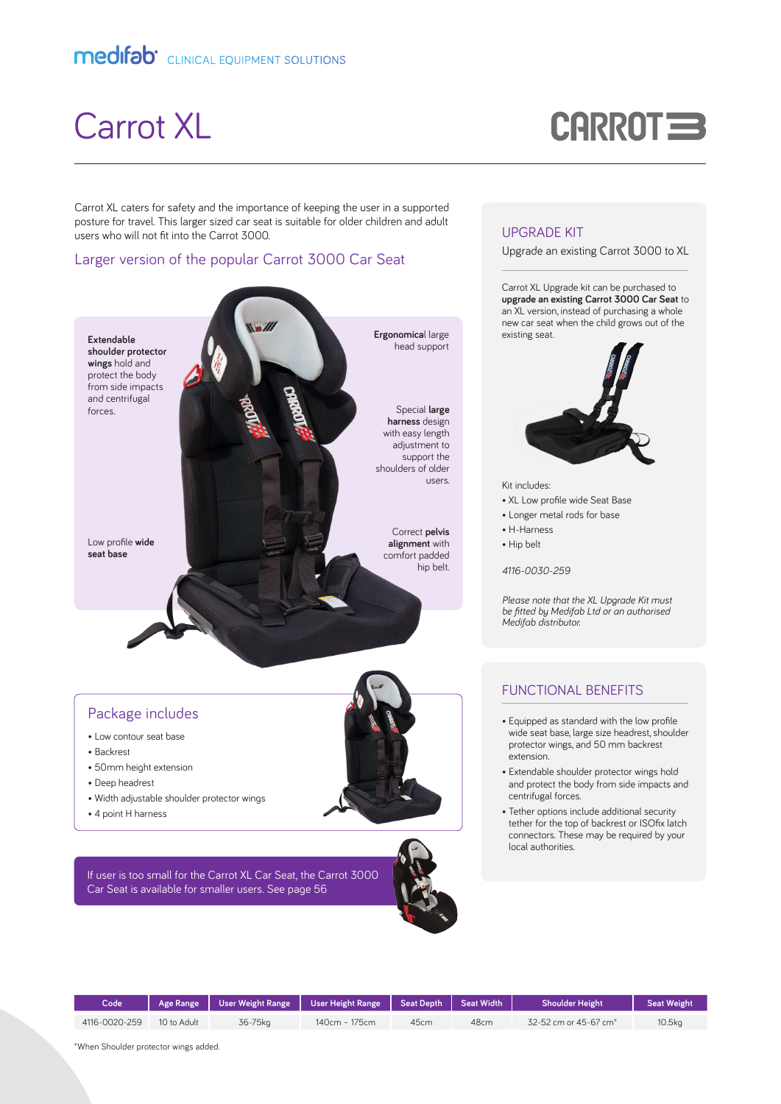# Carrot XL

# **CARROT =**

Carrot XL caters for safety and the importance of keeping the user in a supported posture for travel. This larger sized car seat is suitable for older children and adult users who will not fit into the Carrot 3000.

#### Larger version of the popular Carrot 3000 Car Seat



#### UPGRADE KIT

Upgrade an existing Carrot 3000 to XL

Carrot XL Upgrade kit can be purchased to **upgrade an existing Carrot 3000 Car Seat** to an XL version, instead of purchasing a whole new car seat when the child grows out of the existing seat.



Kit includes:

- XL Low profile wide Seat Base
- Longer metal rods for base
- H-Harness
- Hip belt

*4116-0030-259*

*Please note that the XL Upgrade Kit must be fitted by Medifab Ltd or an authorised Medifab distributor.*

### FUNCTIONAL BENEFITS

- Equipped as standard with the low profile wide seat base, large size headrest, shoulder protector wings, and 50 mm backrest extension.
- Extendable shoulder protector wings hold and protect the body from side impacts and centrifugal forces.
- Tether options include additional security tether for the top of backrest or ISOfix latch connectors. These may be required by your local authorities.

| Code          |             | Age Range   User Weight Range   User Height Range   Seat Depth   Seat Width |               |      |      | <b>Shoulder Height</b>            | <b>Seat Weight</b> |
|---------------|-------------|-----------------------------------------------------------------------------|---------------|------|------|-----------------------------------|--------------------|
| 4116-0020-259 | 10 to Adult | 36-75kg                                                                     | 140cm - 175cm | 45cm | 48cm | 32-52 cm or 45-67 cm <sup>*</sup> | 10.5 <sub>ka</sub> |
|               |             |                                                                             |               |      |      |                                   |                    |

\*When Shoulder protector wings added.